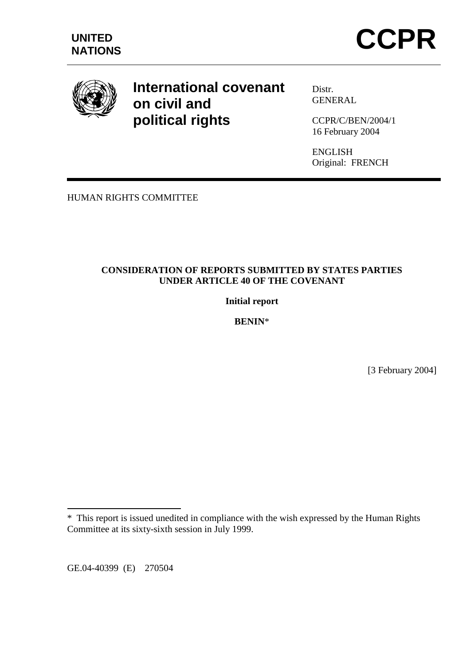

# **International covenant on civil and political rights**

Distr. GENERAL

CCPR/C/BEN/2004/1 16 February 2004

ENGLISH Original: FRENCH

HUMAN RIGHTS COMMITTEE

# **CONSIDERATION OF REPORTS SUBMITTED BY STATES PARTIES UNDER ARTICLE 40 OF THE COVENANT**

**Initial report** 

**BENIN**\*

[3 February 2004]

GE.04-40399 (E) 270504

 $\overline{a}$ 

<sup>\*</sup> This report is issued unedited in compliance with the wish expressed by the Human Rights Committee at its sixty-sixth session in July 1999.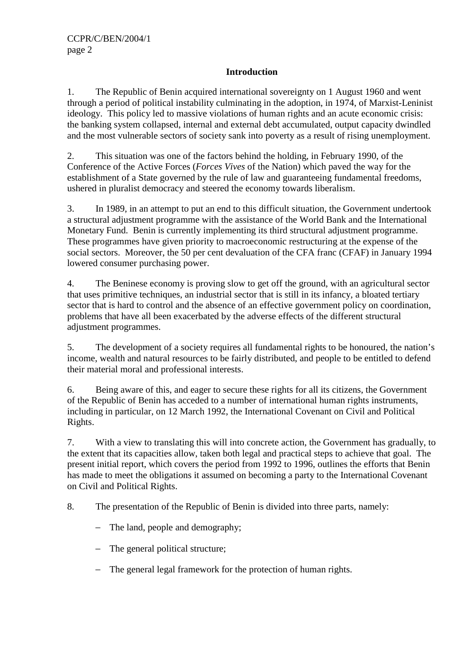# **Introduction**

1. The Republic of Benin acquired international sovereignty on 1 August 1960 and went through a period of political instability culminating in the adoption, in 1974, of Marxist-Leninist ideology. This policy led to massive violations of human rights and an acute economic crisis: the banking system collapsed, internal and external debt accumulated, output capacity dwindled and the most vulnerable sectors of society sank into poverty as a result of rising unemployment.

2. This situation was one of the factors behind the holding, in February 1990, of the Conference of the Active Forces (*Forces Vives* of the Nation) which paved the way for the establishment of a State governed by the rule of law and guaranteeing fundamental freedoms, ushered in pluralist democracy and steered the economy towards liberalism.

3. In 1989, in an attempt to put an end to this difficult situation, the Government undertook a structural adjustment programme with the assistance of the World Bank and the International Monetary Fund. Benin is currently implementing its third structural adjustment programme. These programmes have given priority to macroeconomic restructuring at the expense of the social sectors. Moreover, the 50 per cent devaluation of the CFA franc (CFAF) in January 1994 lowered consumer purchasing power.

4. The Beninese economy is proving slow to get off the ground, with an agricultural sector that uses primitive techniques, an industrial sector that is still in its infancy, a bloated tertiary sector that is hard to control and the absence of an effective government policy on coordination, problems that have all been exacerbated by the adverse effects of the different structural adjustment programmes.

5. The development of a society requires all fundamental rights to be honoured, the nation's income, wealth and natural resources to be fairly distributed, and people to be entitled to defend their material moral and professional interests.

6. Being aware of this, and eager to secure these rights for all its citizens, the Government of the Republic of Benin has acceded to a number of international human rights instruments, including in particular, on 12 March 1992, the International Covenant on Civil and Political Rights.

7. With a view to translating this will into concrete action, the Government has gradually, to the extent that its capacities allow, taken both legal and practical steps to achieve that goal. The present initial report, which covers the period from 1992 to 1996, outlines the efforts that Benin has made to meet the obligations it assumed on becoming a party to the International Covenant on Civil and Political Rights.

8. The presentation of the Republic of Benin is divided into three parts, namely:

- − The land, people and demography;
- − The general political structure;
- − The general legal framework for the protection of human rights.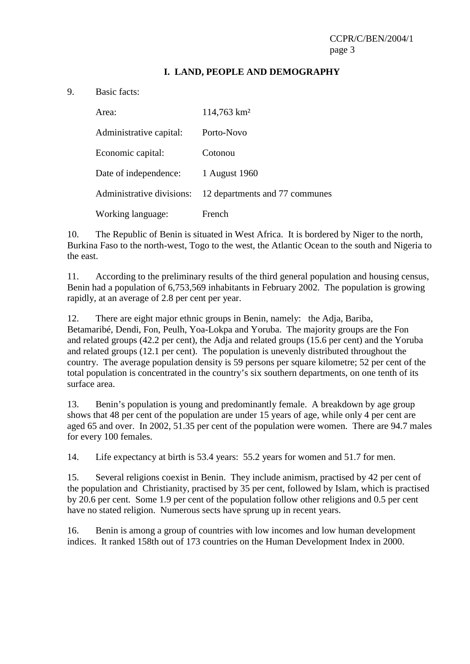## **I. LAND, PEOPLE AND DEMOGRAPHY**

#### 9. Basic facts:

| Area:                     | $114,763$ km <sup>2</sup>      |
|---------------------------|--------------------------------|
| Administrative capital:   | Porto-Novo                     |
| Economic capital:         | Cotonou                        |
| Date of independence:     | 1 August 1960                  |
| Administrative divisions: | 12 departments and 77 communes |
| Working language:         | French                         |

10. The Republic of Benin is situated in West Africa. It is bordered by Niger to the north, Burkina Faso to the north-west, Togo to the west, the Atlantic Ocean to the south and Nigeria to the east.

11. According to the preliminary results of the third general population and housing census, Benin had a population of 6,753,569 inhabitants in February 2002. The population is growing rapidly, at an average of 2.8 per cent per year.

12. There are eight major ethnic groups in Benin, namely: the Adja, Bariba, Betamaribé, Dendi, Fon, Peulh, Yoa-Lokpa and Yoruba. The majority groups are the Fon and related groups (42.2 per cent), the Adja and related groups (15.6 per cent) and the Yoruba and related groups (12.1 per cent). The population is unevenly distributed throughout the country. The average population density is 59 persons per square kilometre; 52 per cent of the total population is concentrated in the country's six southern departments, on one tenth of its surface area.

13. Benin's population is young and predominantly female. A breakdown by age group shows that 48 per cent of the population are under 15 years of age, while only 4 per cent are aged 65 and over. In 2002, 51.35 per cent of the population were women. There are 94.7 males for every 100 females.

14. Life expectancy at birth is 53.4 years: 55.2 years for women and 51.7 for men.

15. Several religions coexist in Benin. They include animism, practised by 42 per cent of the population and Christianity, practised by 35 per cent, followed by Islam, which is practised by 20.6 per cent. Some 1.9 per cent of the population follow other religions and 0.5 per cent have no stated religion. Numerous sects have sprung up in recent years.

16. Benin is among a group of countries with low incomes and low human development indices. It ranked 158th out of 173 countries on the Human Development Index in 2000.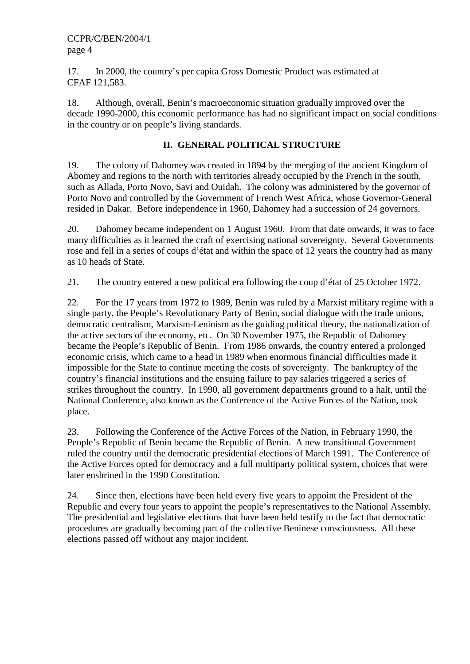17. In 2000, the country's per capita Gross Domestic Product was estimated at CFAF 121,583.

18. Although, overall, Benin's macroeconomic situation gradually improved over the decade 1990-2000, this economic performance has had no significant impact on social conditions in the country or on people's living standards.

# **II. GENERAL POLITICAL STRUCTURE**

19. The colony of Dahomey was created in 1894 by the merging of the ancient Kingdom of Abomey and regions to the north with territories already occupied by the French in the south, such as Allada, Porto Novo, Savi and Ouidah. The colony was administered by the governor of Porto Novo and controlled by the Government of French West Africa, whose Governor-General resided in Dakar. Before independence in 1960, Dahomey had a succession of 24 governors.

20. Dahomey became independent on 1 August 1960. From that date onwards, it was to face many difficulties as it learned the craft of exercising national sovereignty. Several Governments rose and fell in a series of coups d'état and within the space of 12 years the country had as many as 10 heads of State.

21. The country entered a new political era following the coup d'état of 25 October 1972.

22. For the 17 years from 1972 to 1989, Benin was ruled by a Marxist military regime with a single party, the People's Revolutionary Party of Benin, social dialogue with the trade unions, democratic centralism, Marxism-Leninism as the guiding political theory, the nationalization of the active sectors of the economy, etc. On 30 November 1975, the Republic of Dahomey became the People's Republic of Benin. From 1986 onwards, the country entered a prolonged economic crisis, which came to a head in 1989 when enormous financial difficulties made it impossible for the State to continue meeting the costs of sovereignty. The bankruptcy of the country's financial institutions and the ensuing failure to pay salaries triggered a series of strikes throughout the country. In 1990, all government departments ground to a halt, until the National Conference, also known as the Conference of the Active Forces of the Nation, took place.

23. Following the Conference of the Active Forces of the Nation, in February 1990, the People's Republic of Benin became the Republic of Benin. A new transitional Government ruled the country until the democratic presidential elections of March 1991. The Conference of the Active Forces opted for democracy and a full multiparty political system, choices that were later enshrined in the 1990 Constitution.

24. Since then, elections have been held every five years to appoint the President of the Republic and every four years to appoint the people's representatives to the National Assembly. The presidential and legislative elections that have been held testify to the fact that democratic procedures are gradually becoming part of the collective Beninese consciousness. All these elections passed off without any major incident.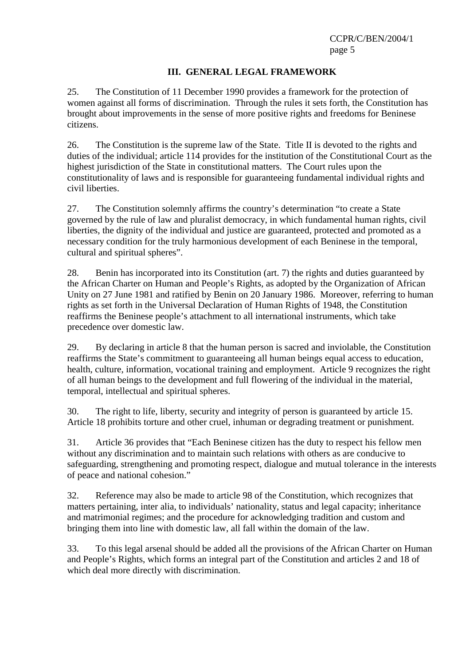# **III. GENERAL LEGAL FRAMEWORK**

25. The Constitution of 11 December 1990 provides a framework for the protection of women against all forms of discrimination. Through the rules it sets forth, the Constitution has brought about improvements in the sense of more positive rights and freedoms for Beninese citizens.

26. The Constitution is the supreme law of the State. Title II is devoted to the rights and duties of the individual; article 114 provides for the institution of the Constitutional Court as the highest jurisdiction of the State in constitutional matters. The Court rules upon the constitutionality of laws and is responsible for guaranteeing fundamental individual rights and civil liberties.

27. The Constitution solemnly affirms the country's determination "to create a State governed by the rule of law and pluralist democracy, in which fundamental human rights, civil liberties, the dignity of the individual and justice are guaranteed, protected and promoted as a necessary condition for the truly harmonious development of each Beninese in the temporal, cultural and spiritual spheres".

28. Benin has incorporated into its Constitution (art. 7) the rights and duties guaranteed by the African Charter on Human and People's Rights, as adopted by the Organization of African Unity on 27 June 1981 and ratified by Benin on 20 January 1986. Moreover, referring to human rights as set forth in the Universal Declaration of Human Rights of 1948, the Constitution reaffirms the Beninese people's attachment to all international instruments, which take precedence over domestic law.

29. By declaring in article 8 that the human person is sacred and inviolable, the Constitution reaffirms the State's commitment to guaranteeing all human beings equal access to education, health, culture, information, vocational training and employment. Article 9 recognizes the right of all human beings to the development and full flowering of the individual in the material, temporal, intellectual and spiritual spheres.

30. The right to life, liberty, security and integrity of person is guaranteed by article 15. Article 18 prohibits torture and other cruel, inhuman or degrading treatment or punishment.

31. Article 36 provides that "Each Beninese citizen has the duty to respect his fellow men without any discrimination and to maintain such relations with others as are conducive to safeguarding, strengthening and promoting respect, dialogue and mutual tolerance in the interests of peace and national cohesion."

32. Reference may also be made to article 98 of the Constitution, which recognizes that matters pertaining, inter alia, to individuals' nationality, status and legal capacity; inheritance and matrimonial regimes; and the procedure for acknowledging tradition and custom and bringing them into line with domestic law, all fall within the domain of the law.

33. To this legal arsenal should be added all the provisions of the African Charter on Human and People's Rights, which forms an integral part of the Constitution and articles 2 and 18 of which deal more directly with discrimination.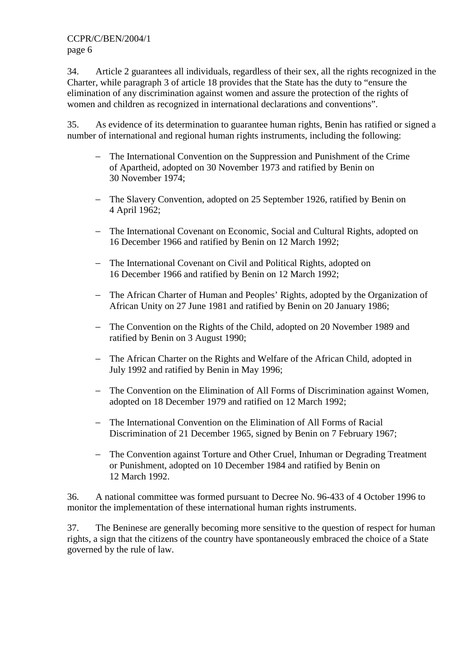34. Article 2 guarantees all individuals, regardless of their sex, all the rights recognized in the Charter, while paragraph 3 of article 18 provides that the State has the duty to "ensure the elimination of any discrimination against women and assure the protection of the rights of women and children as recognized in international declarations and conventions".

35. As evidence of its determination to guarantee human rights, Benin has ratified or signed a number of international and regional human rights instruments, including the following:

- − The International Convention on the Suppression and Punishment of the Crime of Apartheid, adopted on 30 November 1973 and ratified by Benin on 30 November 1974;
- − The Slavery Convention, adopted on 25 September 1926, ratified by Benin on 4 April 1962;
- − The International Covenant on Economic, Social and Cultural Rights, adopted on 16 December 1966 and ratified by Benin on 12 March 1992;
- − The International Covenant on Civil and Political Rights, adopted on 16 December 1966 and ratified by Benin on 12 March 1992;
- − The African Charter of Human and Peoples' Rights, adopted by the Organization of African Unity on 27 June 1981 and ratified by Benin on 20 January 1986;
- − The Convention on the Rights of the Child, adopted on 20 November 1989 and ratified by Benin on 3 August 1990;
- − The African Charter on the Rights and Welfare of the African Child, adopted in July 1992 and ratified by Benin in May 1996;
- − The Convention on the Elimination of All Forms of Discrimination against Women, adopted on 18 December 1979 and ratified on 12 March 1992;
- − The International Convention on the Elimination of All Forms of Racial Discrimination of 21 December 1965, signed by Benin on 7 February 1967;
- − The Convention against Torture and Other Cruel, Inhuman or Degrading Treatment or Punishment, adopted on 10 December 1984 and ratified by Benin on 12 March 1992.

36. A national committee was formed pursuant to Decree No. 96-433 of 4 October 1996 to monitor the implementation of these international human rights instruments.

37. The Beninese are generally becoming more sensitive to the question of respect for human rights, a sign that the citizens of the country have spontaneously embraced the choice of a State governed by the rule of law.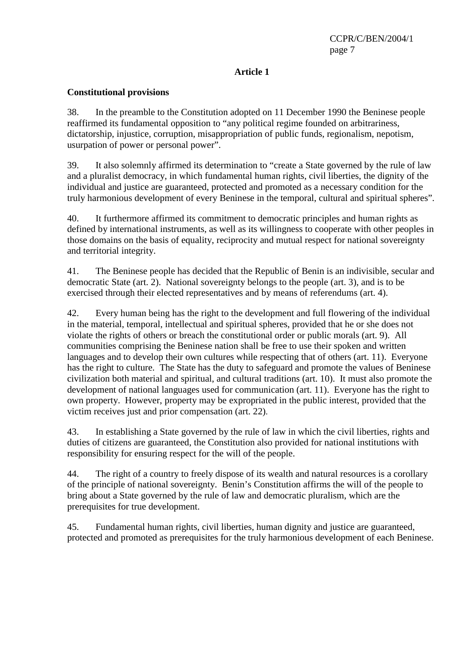# **Article 1**

# **Constitutional provisions**

38. In the preamble to the Constitution adopted on 11 December 1990 the Beninese people reaffirmed its fundamental opposition to "any political regime founded on arbitrariness, dictatorship, injustice, corruption, misappropriation of public funds, regionalism, nepotism, usurpation of power or personal power".

39. It also solemnly affirmed its determination to "create a State governed by the rule of law and a pluralist democracy, in which fundamental human rights, civil liberties, the dignity of the individual and justice are guaranteed, protected and promoted as a necessary condition for the truly harmonious development of every Beninese in the temporal, cultural and spiritual spheres".

40. It furthermore affirmed its commitment to democratic principles and human rights as defined by international instruments, as well as its willingness to cooperate with other peoples in those domains on the basis of equality, reciprocity and mutual respect for national sovereignty and territorial integrity.

41. The Beninese people has decided that the Republic of Benin is an indivisible, secular and democratic State (art. 2). National sovereignty belongs to the people (art. 3), and is to be exercised through their elected representatives and by means of referendums (art. 4).

42. Every human being has the right to the development and full flowering of the individual in the material, temporal, intellectual and spiritual spheres, provided that he or she does not violate the rights of others or breach the constitutional order or public morals (art. 9). All communities comprising the Beninese nation shall be free to use their spoken and written languages and to develop their own cultures while respecting that of others (art. 11). Everyone has the right to culture. The State has the duty to safeguard and promote the values of Beninese civilization both material and spiritual, and cultural traditions (art. 10). It must also promote the development of national languages used for communication (art. 11). Everyone has the right to own property. However, property may be expropriated in the public interest, provided that the victim receives just and prior compensation (art. 22).

43. In establishing a State governed by the rule of law in which the civil liberties, rights and duties of citizens are guaranteed, the Constitution also provided for national institutions with responsibility for ensuring respect for the will of the people.

44. The right of a country to freely dispose of its wealth and natural resources is a corollary of the principle of national sovereignty. Benin's Constitution affirms the will of the people to bring about a State governed by the rule of law and democratic pluralism, which are the prerequisites for true development.

45. Fundamental human rights, civil liberties, human dignity and justice are guaranteed, protected and promoted as prerequisites for the truly harmonious development of each Beninese.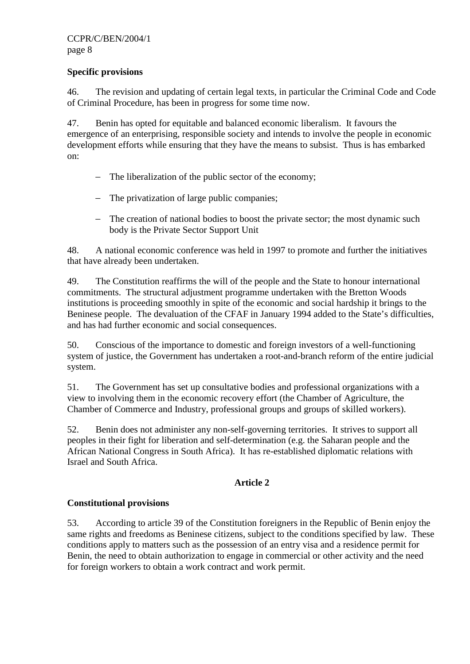#### **Specific provisions**

46. The revision and updating of certain legal texts, in particular the Criminal Code and Code of Criminal Procedure, has been in progress for some time now.

47. Benin has opted for equitable and balanced economic liberalism. It favours the emergence of an enterprising, responsible society and intends to involve the people in economic development efforts while ensuring that they have the means to subsist. Thus is has embarked on:

- − The liberalization of the public sector of the economy;
- − The privatization of large public companies;
- − The creation of national bodies to boost the private sector; the most dynamic such body is the Private Sector Support Unit

48. A national economic conference was held in 1997 to promote and further the initiatives that have already been undertaken.

49. The Constitution reaffirms the will of the people and the State to honour international commitments. The structural adjustment programme undertaken with the Bretton Woods institutions is proceeding smoothly in spite of the economic and social hardship it brings to the Beninese people. The devaluation of the CFAF in January 1994 added to the State's difficulties, and has had further economic and social consequences.

50. Conscious of the importance to domestic and foreign investors of a well-functioning system of justice, the Government has undertaken a root-and-branch reform of the entire judicial system.

51. The Government has set up consultative bodies and professional organizations with a view to involving them in the economic recovery effort (the Chamber of Agriculture, the Chamber of Commerce and Industry, professional groups and groups of skilled workers).

52. Benin does not administer any non-self-governing territories. It strives to support all peoples in their fight for liberation and self-determination (e.g. the Saharan people and the African National Congress in South Africa). It has re-established diplomatic relations with Israel and South Africa.

# **Article 2**

# **Constitutional provisions**

53. According to article 39 of the Constitution foreigners in the Republic of Benin enjoy the same rights and freedoms as Beninese citizens, subject to the conditions specified by law. These conditions apply to matters such as the possession of an entry visa and a residence permit for Benin, the need to obtain authorization to engage in commercial or other activity and the need for foreign workers to obtain a work contract and work permit.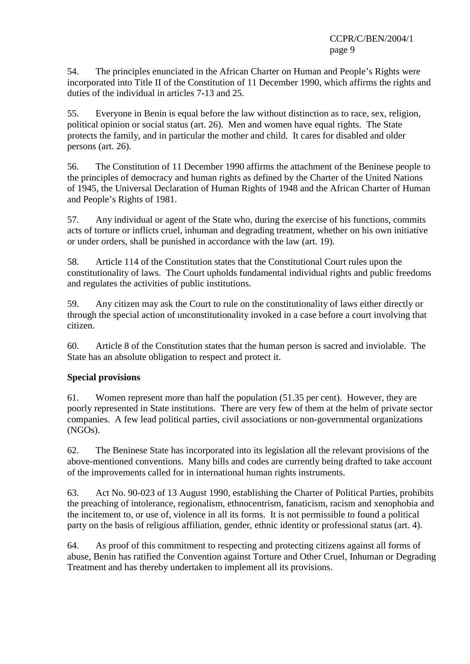54. The principles enunciated in the African Charter on Human and People's Rights were incorporated into Title II of the Constitution of 11 December 1990, which affirms the rights and duties of the individual in articles 7-13 and 25.

55. Everyone in Benin is equal before the law without distinction as to race, sex, religion, political opinion or social status (art. 26). Men and women have equal rights. The State protects the family, and in particular the mother and child. It cares for disabled and older persons (art. 26).

56. The Constitution of 11 December 1990 affirms the attachment of the Beninese people to the principles of democracy and human rights as defined by the Charter of the United Nations of 1945, the Universal Declaration of Human Rights of 1948 and the African Charter of Human and People's Rights of 1981.

57. Any individual or agent of the State who, during the exercise of his functions, commits acts of torture or inflicts cruel, inhuman and degrading treatment, whether on his own initiative or under orders, shall be punished in accordance with the law (art. 19).

58. Article 114 of the Constitution states that the Constitutional Court rules upon the constitutionality of laws. The Court upholds fundamental individual rights and public freedoms and regulates the activities of public institutions.

59. Any citizen may ask the Court to rule on the constitutionality of laws either directly or through the special action of unconstitutionality invoked in a case before a court involving that citizen.

60. Article 8 of the Constitution states that the human person is sacred and inviolable. The State has an absolute obligation to respect and protect it.

# **Special provisions**

61. Women represent more than half the population (51.35 per cent). However, they are poorly represented in State institutions. There are very few of them at the helm of private sector companies. A few lead political parties, civil associations or non-governmental organizations (NGOs).

62. The Beninese State has incorporated into its legislation all the relevant provisions of the above-mentioned conventions. Many bills and codes are currently being drafted to take account of the improvements called for in international human rights instruments.

63. Act No. 90-023 of 13 August 1990, establishing the Charter of Political Parties, prohibits the preaching of intolerance, regionalism, ethnocentrism, fanaticism, racism and xenophobia and the incitement to, or use of, violence in all its forms. It is not permissible to found a political party on the basis of religious affiliation, gender, ethnic identity or professional status (art. 4).

64. As proof of this commitment to respecting and protecting citizens against all forms of abuse, Benin has ratified the Convention against Torture and Other Cruel, Inhuman or Degrading Treatment and has thereby undertaken to implement all its provisions.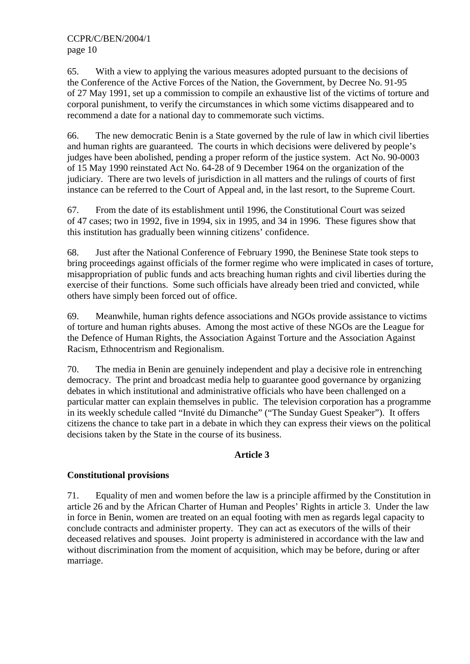65. With a view to applying the various measures adopted pursuant to the decisions of the Conference of the Active Forces of the Nation, the Government, by Decree No. 91-95 of 27 May 1991, set up a commission to compile an exhaustive list of the victims of torture and corporal punishment, to verify the circumstances in which some victims disappeared and to recommend a date for a national day to commemorate such victims.

66. The new democratic Benin is a State governed by the rule of law in which civil liberties and human rights are guaranteed. The courts in which decisions were delivered by people's judges have been abolished, pending a proper reform of the justice system. Act No. 90-0003 of 15 May 1990 reinstated Act No. 64-28 of 9 December 1964 on the organization of the judiciary. There are two levels of jurisdiction in all matters and the rulings of courts of first instance can be referred to the Court of Appeal and, in the last resort, to the Supreme Court.

67. From the date of its establishment until 1996, the Constitutional Court was seized of 47 cases; two in 1992, five in 1994, six in 1995, and 34 in 1996. These figures show that this institution has gradually been winning citizens' confidence.

68. Just after the National Conference of February 1990, the Beninese State took steps to bring proceedings against officials of the former regime who were implicated in cases of torture, misappropriation of public funds and acts breaching human rights and civil liberties during the exercise of their functions. Some such officials have already been tried and convicted, while others have simply been forced out of office.

69. Meanwhile, human rights defence associations and NGOs provide assistance to victims of torture and human rights abuses. Among the most active of these NGOs are the League for the Defence of Human Rights, the Association Against Torture and the Association Against Racism, Ethnocentrism and Regionalism.

70. The media in Benin are genuinely independent and play a decisive role in entrenching democracy. The print and broadcast media help to guarantee good governance by organizing debates in which institutional and administrative officials who have been challenged on a particular matter can explain themselves in public. The television corporation has a programme in its weekly schedule called "Invité du Dimanche" ("The Sunday Guest Speaker"). It offers citizens the chance to take part in a debate in which they can express their views on the political decisions taken by the State in the course of its business.

# **Article 3**

# **Constitutional provisions**

71. Equality of men and women before the law is a principle affirmed by the Constitution in article 26 and by the African Charter of Human and Peoples' Rights in article 3. Under the law in force in Benin, women are treated on an equal footing with men as regards legal capacity to conclude contracts and administer property. They can act as executors of the wills of their deceased relatives and spouses. Joint property is administered in accordance with the law and without discrimination from the moment of acquisition, which may be before, during or after marriage.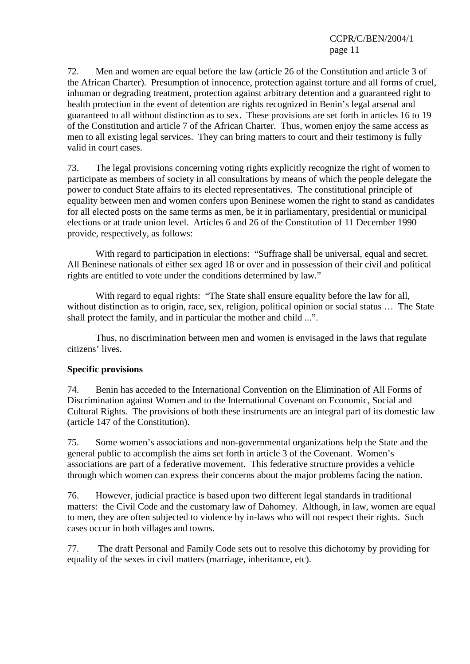72. Men and women are equal before the law (article 26 of the Constitution and article 3 of the African Charter). Presumption of innocence, protection against torture and all forms of cruel, inhuman or degrading treatment, protection against arbitrary detention and a guaranteed right to health protection in the event of detention are rights recognized in Benin's legal arsenal and guaranteed to all without distinction as to sex. These provisions are set forth in articles 16 to 19 of the Constitution and article 7 of the African Charter. Thus, women enjoy the same access as men to all existing legal services. They can bring matters to court and their testimony is fully valid in court cases.

73. The legal provisions concerning voting rights explicitly recognize the right of women to participate as members of society in all consultations by means of which the people delegate the power to conduct State affairs to its elected representatives. The constitutional principle of equality between men and women confers upon Beninese women the right to stand as candidates for all elected posts on the same terms as men, be it in parliamentary, presidential or municipal elections or at trade union level. Articles 6 and 26 of the Constitution of 11 December 1990 provide, respectively, as follows:

 With regard to participation in elections: "Suffrage shall be universal, equal and secret. All Beninese nationals of either sex aged 18 or over and in possession of their civil and political rights are entitled to vote under the conditions determined by law."

 With regard to equal rights: "The State shall ensure equality before the law for all, without distinction as to origin, race, sex, religion, political opinion or social status ... The State shall protect the family, and in particular the mother and child ...".

 Thus, no discrimination between men and women is envisaged in the laws that regulate citizens' lives.

# **Specific provisions**

74. Benin has acceded to the International Convention on the Elimination of All Forms of Discrimination against Women and to the International Covenant on Economic, Social and Cultural Rights. The provisions of both these instruments are an integral part of its domestic law (article 147 of the Constitution).

75. Some women's associations and non-governmental organizations help the State and the general public to accomplish the aims set forth in article 3 of the Covenant. Women's associations are part of a federative movement. This federative structure provides a vehicle through which women can express their concerns about the major problems facing the nation.

76. However, judicial practice is based upon two different legal standards in traditional matters: the Civil Code and the customary law of Dahomey. Although, in law, women are equal to men, they are often subjected to violence by in-laws who will not respect their rights. Such

77. The draft Personal and Family Code sets out to resolve this dichotomy by providing for equality of the sexes in civil matters (marriage, inheritance, etc).

cases occur in both villages and towns.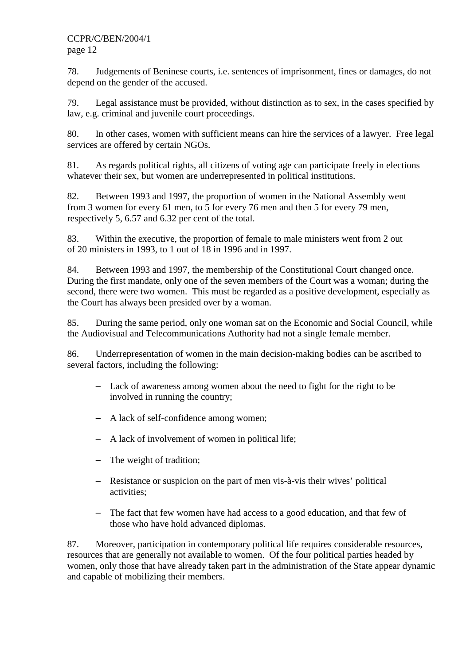78. Judgements of Beninese courts, i.e. sentences of imprisonment, fines or damages, do not depend on the gender of the accused.

79. Legal assistance must be provided, without distinction as to sex, in the cases specified by law, e.g. criminal and juvenile court proceedings.

80. In other cases, women with sufficient means can hire the services of a lawyer. Free legal services are offered by certain NGOs.

81. As regards political rights, all citizens of voting age can participate freely in elections whatever their sex, but women are underrepresented in political institutions.

82. Between 1993 and 1997, the proportion of women in the National Assembly went from 3 women for every 61 men, to 5 for every 76 men and then 5 for every 79 men, respectively 5, 6.57 and 6.32 per cent of the total.

83. Within the executive, the proportion of female to male ministers went from 2 out of 20 ministers in 1993, to 1 out of 18 in 1996 and in 1997.

84. Between 1993 and 1997, the membership of the Constitutional Court changed once. During the first mandate, only one of the seven members of the Court was a woman; during the second, there were two women. This must be regarded as a positive development, especially as the Court has always been presided over by a woman.

85. During the same period, only one woman sat on the Economic and Social Council, while the Audiovisual and Telecommunications Authority had not a single female member.

86. Underrepresentation of women in the main decision-making bodies can be ascribed to several factors, including the following:

- − Lack of awareness among women about the need to fight for the right to be involved in running the country;
- − A lack of self-confidence among women;
- − A lack of involvement of women in political life;
- − The weight of tradition;
- − Resistance or suspicion on the part of men vis-à-vis their wives' political activities;
- − The fact that few women have had access to a good education, and that few of those who have hold advanced diplomas.

87. Moreover, participation in contemporary political life requires considerable resources, resources that are generally not available to women. Of the four political parties headed by women, only those that have already taken part in the administration of the State appear dynamic and capable of mobilizing their members.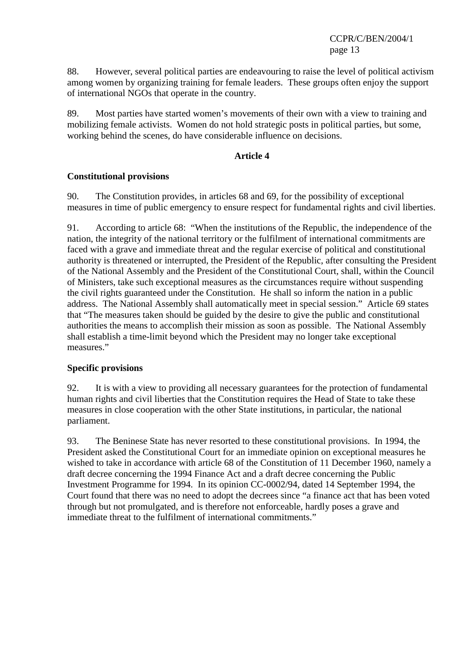88. However, several political parties are endeavouring to raise the level of political activism among women by organizing training for female leaders. These groups often enjoy the support of international NGOs that operate in the country.

89. Most parties have started women's movements of their own with a view to training and mobilizing female activists. Women do not hold strategic posts in political parties, but some, working behind the scenes, do have considerable influence on decisions.

#### **Article 4**

#### **Constitutional provisions**

90. The Constitution provides, in articles 68 and 69, for the possibility of exceptional measures in time of public emergency to ensure respect for fundamental rights and civil liberties.

91. According to article 68: "When the institutions of the Republic, the independence of the nation, the integrity of the national territory or the fulfilment of international commitments are faced with a grave and immediate threat and the regular exercise of political and constitutional authority is threatened or interrupted, the President of the Republic, after consulting the President of the National Assembly and the President of the Constitutional Court, shall, within the Council of Ministers, take such exceptional measures as the circumstances require without suspending the civil rights guaranteed under the Constitution. He shall so inform the nation in a public address. The National Assembly shall automatically meet in special session." Article 69 states that "The measures taken should be guided by the desire to give the public and constitutional authorities the means to accomplish their mission as soon as possible. The National Assembly shall establish a time-limit beyond which the President may no longer take exceptional measures."

# **Specific provisions**

92. It is with a view to providing all necessary guarantees for the protection of fundamental human rights and civil liberties that the Constitution requires the Head of State to take these measures in close cooperation with the other State institutions, in particular, the national parliament.

93. The Beninese State has never resorted to these constitutional provisions. In 1994, the President asked the Constitutional Court for an immediate opinion on exceptional measures he wished to take in accordance with article 68 of the Constitution of 11 December 1960, namely a draft decree concerning the 1994 Finance Act and a draft decree concerning the Public Investment Programme for 1994. In its opinion CC-0002/94, dated 14 September 1994, the Court found that there was no need to adopt the decrees since "a finance act that has been voted through but not promulgated, and is therefore not enforceable, hardly poses a grave and immediate threat to the fulfilment of international commitments."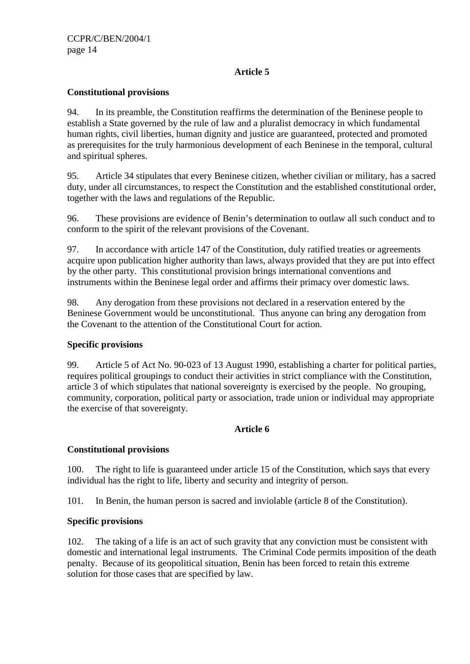# **Article 5**

# **Constitutional provisions**

94. In its preamble, the Constitution reaffirms the determination of the Beninese people to establish a State governed by the rule of law and a pluralist democracy in which fundamental human rights, civil liberties, human dignity and justice are guaranteed, protected and promoted as prerequisites for the truly harmonious development of each Beninese in the temporal, cultural and spiritual spheres.

95. Article 34 stipulates that every Beninese citizen, whether civilian or military, has a sacred duty, under all circumstances, to respect the Constitution and the established constitutional order, together with the laws and regulations of the Republic.

96. These provisions are evidence of Benin's determination to outlaw all such conduct and to conform to the spirit of the relevant provisions of the Covenant.

97. In accordance with article 147 of the Constitution, duly ratified treaties or agreements acquire upon publication higher authority than laws, always provided that they are put into effect by the other party. This constitutional provision brings international conventions and instruments within the Beninese legal order and affirms their primacy over domestic laws.

98. Any derogation from these provisions not declared in a reservation entered by the Beninese Government would be unconstitutional. Thus anyone can bring any derogation from the Covenant to the attention of the Constitutional Court for action.

# **Specific provisions**

99. Article 5 of Act No. 90-023 of 13 August 1990, establishing a charter for political parties, requires political groupings to conduct their activities in strict compliance with the Constitution, article 3 of which stipulates that national sovereignty is exercised by the people. No grouping, community, corporation, political party or association, trade union or individual may appropriate the exercise of that sovereignty.

# **Article 6**

# **Constitutional provisions**

100. The right to life is guaranteed under article 15 of the Constitution, which says that every individual has the right to life, liberty and security and integrity of person.

101. In Benin, the human person is sacred and inviolable (article 8 of the Constitution).

# **Specific provisions**

102. The taking of a life is an act of such gravity that any conviction must be consistent with domestic and international legal instruments. The Criminal Code permits imposition of the death penalty. Because of its geopolitical situation, Benin has been forced to retain this extreme solution for those cases that are specified by law.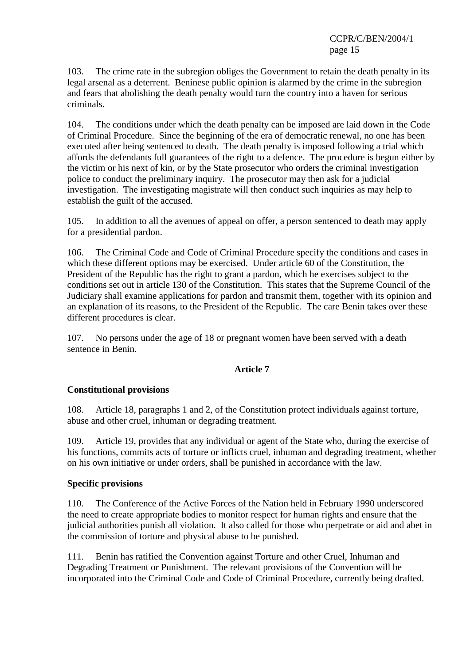103. The crime rate in the subregion obliges the Government to retain the death penalty in its legal arsenal as a deterrent. Beninese public opinion is alarmed by the crime in the subregion and fears that abolishing the death penalty would turn the country into a haven for serious criminals.

104. The conditions under which the death penalty can be imposed are laid down in the Code of Criminal Procedure. Since the beginning of the era of democratic renewal, no one has been executed after being sentenced to death. The death penalty is imposed following a trial which affords the defendants full guarantees of the right to a defence. The procedure is begun either by the victim or his next of kin, or by the State prosecutor who orders the criminal investigation police to conduct the preliminary inquiry. The prosecutor may then ask for a judicial investigation. The investigating magistrate will then conduct such inquiries as may help to establish the guilt of the accused.

105. In addition to all the avenues of appeal on offer, a person sentenced to death may apply for a presidential pardon.

106. The Criminal Code and Code of Criminal Procedure specify the conditions and cases in which these different options may be exercised. Under article 60 of the Constitution, the President of the Republic has the right to grant a pardon, which he exercises subject to the conditions set out in article 130 of the Constitution. This states that the Supreme Council of the Judiciary shall examine applications for pardon and transmit them, together with its opinion and an explanation of its reasons, to the President of the Republic. The care Benin takes over these different procedures is clear.

107. No persons under the age of 18 or pregnant women have been served with a death sentence in Benin.

# **Article 7**

# **Constitutional provisions**

108. Article 18, paragraphs 1 and 2, of the Constitution protect individuals against torture, abuse and other cruel, inhuman or degrading treatment.

109. Article 19, provides that any individual or agent of the State who, during the exercise of his functions, commits acts of torture or inflicts cruel, inhuman and degrading treatment, whether on his own initiative or under orders, shall be punished in accordance with the law.

# **Specific provisions**

110. The Conference of the Active Forces of the Nation held in February 1990 underscored the need to create appropriate bodies to monitor respect for human rights and ensure that the judicial authorities punish all violation. It also called for those who perpetrate or aid and abet in the commission of torture and physical abuse to be punished.

111. Benin has ratified the Convention against Torture and other Cruel, Inhuman and Degrading Treatment or Punishment. The relevant provisions of the Convention will be incorporated into the Criminal Code and Code of Criminal Procedure, currently being drafted.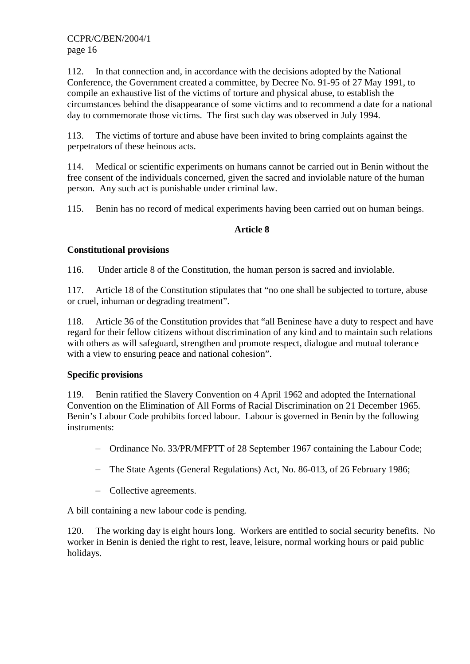112. In that connection and, in accordance with the decisions adopted by the National Conference, the Government created a committee, by Decree No. 91-95 of 27 May 1991, to compile an exhaustive list of the victims of torture and physical abuse, to establish the circumstances behind the disappearance of some victims and to recommend a date for a national day to commemorate those victims. The first such day was observed in July 1994.

113. The victims of torture and abuse have been invited to bring complaints against the perpetrators of these heinous acts.

114. Medical or scientific experiments on humans cannot be carried out in Benin without the free consent of the individuals concerned, given the sacred and inviolable nature of the human person. Any such act is punishable under criminal law.

115. Benin has no record of medical experiments having been carried out on human beings.

# **Article 8**

# **Constitutional provisions**

116. Under article 8 of the Constitution, the human person is sacred and inviolable.

117. Article 18 of the Constitution stipulates that "no one shall be subjected to torture, abuse or cruel, inhuman or degrading treatment".

118. Article 36 of the Constitution provides that "all Beninese have a duty to respect and have regard for their fellow citizens without discrimination of any kind and to maintain such relations with others as will safeguard, strengthen and promote respect, dialogue and mutual tolerance with a view to ensuring peace and national cohesion".

# **Specific provisions**

119. Benin ratified the Slavery Convention on 4 April 1962 and adopted the International Convention on the Elimination of All Forms of Racial Discrimination on 21 December 1965. Benin's Labour Code prohibits forced labour. Labour is governed in Benin by the following instruments:

- − Ordinance No. 33/PR/MFPTT of 28 September 1967 containing the Labour Code;
- − The State Agents (General Regulations) Act, No. 86-013, of 26 February 1986;
- − Collective agreements.

A bill containing a new labour code is pending.

120. The working day is eight hours long. Workers are entitled to social security benefits. No worker in Benin is denied the right to rest, leave, leisure, normal working hours or paid public holidays.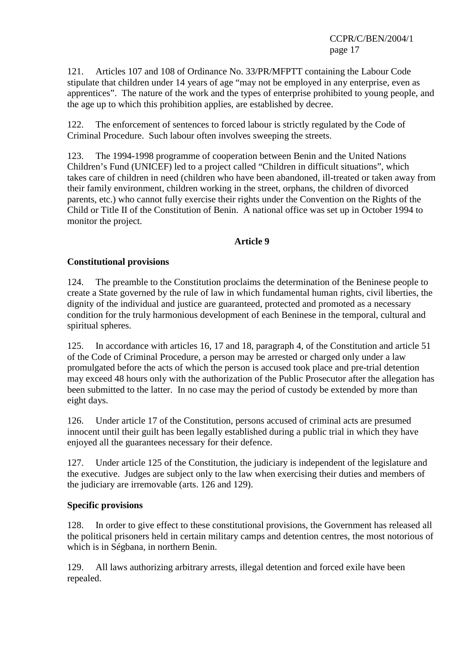121. Articles 107 and 108 of Ordinance No. 33/PR/MFPTT containing the Labour Code stipulate that children under 14 years of age "may not be employed in any enterprise, even as apprentices". The nature of the work and the types of enterprise prohibited to young people, and the age up to which this prohibition applies, are established by decree.

122. The enforcement of sentences to forced labour is strictly regulated by the Code of Criminal Procedure. Such labour often involves sweeping the streets.

123. The 1994-1998 programme of cooperation between Benin and the United Nations Children's Fund (UNICEF) led to a project called "Children in difficult situations", which takes care of children in need (children who have been abandoned, ill-treated or taken away from their family environment, children working in the street, orphans, the children of divorced parents, etc.) who cannot fully exercise their rights under the Convention on the Rights of the Child or Title II of the Constitution of Benin. A national office was set up in October 1994 to monitor the project.

#### **Article 9**

# **Constitutional provisions**

124. The preamble to the Constitution proclaims the determination of the Beninese people to create a State governed by the rule of law in which fundamental human rights, civil liberties, the dignity of the individual and justice are guaranteed, protected and promoted as a necessary condition for the truly harmonious development of each Beninese in the temporal, cultural and spiritual spheres.

125. In accordance with articles 16, 17 and 18, paragraph 4, of the Constitution and article 51 of the Code of Criminal Procedure, a person may be arrested or charged only under a law promulgated before the acts of which the person is accused took place and pre-trial detention may exceed 48 hours only with the authorization of the Public Prosecutor after the allegation has been submitted to the latter. In no case may the period of custody be extended by more than eight days.

126. Under article 17 of the Constitution, persons accused of criminal acts are presumed innocent until their guilt has been legally established during a public trial in which they have enjoyed all the guarantees necessary for their defence.

127. Under article 125 of the Constitution, the judiciary is independent of the legislature and the executive. Judges are subject only to the law when exercising their duties and members of the judiciary are irremovable (arts. 126 and 129).

#### **Specific provisions**

128. In order to give effect to these constitutional provisions, the Government has released all the political prisoners held in certain military camps and detention centres, the most notorious of which is in Ségbana, in northern Benin.

129. All laws authorizing arbitrary arrests, illegal detention and forced exile have been repealed.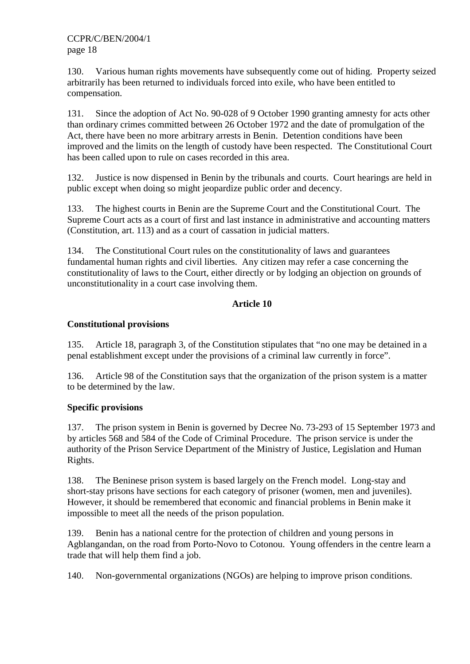130. Various human rights movements have subsequently come out of hiding. Property seized arbitrarily has been returned to individuals forced into exile, who have been entitled to compensation.

131. Since the adoption of Act No. 90-028 of 9 October 1990 granting amnesty for acts other than ordinary crimes committed between 26 October 1972 and the date of promulgation of the Act, there have been no more arbitrary arrests in Benin. Detention conditions have been improved and the limits on the length of custody have been respected. The Constitutional Court has been called upon to rule on cases recorded in this area.

132. Justice is now dispensed in Benin by the tribunals and courts. Court hearings are held in public except when doing so might jeopardize public order and decency.

133. The highest courts in Benin are the Supreme Court and the Constitutional Court. The Supreme Court acts as a court of first and last instance in administrative and accounting matters (Constitution, art. 113) and as a court of cassation in judicial matters.

134. The Constitutional Court rules on the constitutionality of laws and guarantees fundamental human rights and civil liberties. Any citizen may refer a case concerning the constitutionality of laws to the Court, either directly or by lodging an objection on grounds of unconstitutionality in a court case involving them.

# **Article 10**

# **Constitutional provisions**

135. Article 18, paragraph 3, of the Constitution stipulates that "no one may be detained in a penal establishment except under the provisions of a criminal law currently in force".

136. Article 98 of the Constitution says that the organization of the prison system is a matter to be determined by the law.

# **Specific provisions**

137. The prison system in Benin is governed by Decree No. 73-293 of 15 September 1973 and by articles 568 and 584 of the Code of Criminal Procedure. The prison service is under the authority of the Prison Service Department of the Ministry of Justice, Legislation and Human Rights.

138. The Beninese prison system is based largely on the French model. Long-stay and short-stay prisons have sections for each category of prisoner (women, men and juveniles). However, it should be remembered that economic and financial problems in Benin make it impossible to meet all the needs of the prison population.

139. Benin has a national centre for the protection of children and young persons in Agblangandan, on the road from Porto-Novo to Cotonou. Young offenders in the centre learn a trade that will help them find a job.

140. Non-governmental organizations (NGOs) are helping to improve prison conditions.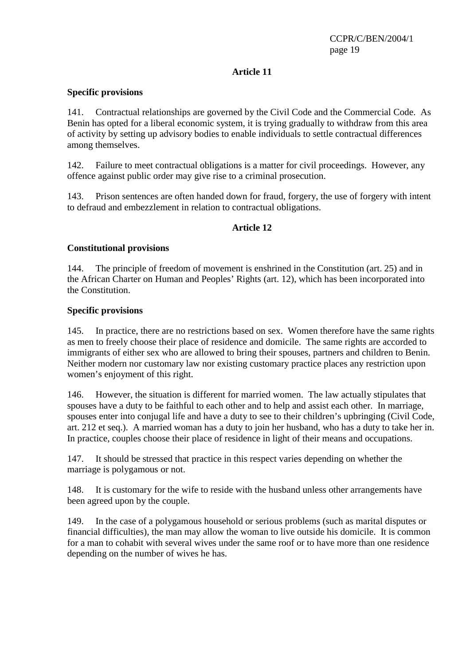# **Article 11**

#### **Specific provisions**

141. Contractual relationships are governed by the Civil Code and the Commercial Code. As Benin has opted for a liberal economic system, it is trying gradually to withdraw from this area of activity by setting up advisory bodies to enable individuals to settle contractual differences among themselves.

142. Failure to meet contractual obligations is a matter for civil proceedings. However, any offence against public order may give rise to a criminal prosecution.

143. Prison sentences are often handed down for fraud, forgery, the use of forgery with intent to defraud and embezzlement in relation to contractual obligations.

# **Article 12**

# **Constitutional provisions**

144. The principle of freedom of movement is enshrined in the Constitution (art. 25) and in the African Charter on Human and Peoples' Rights (art. 12), which has been incorporated into the Constitution.

#### **Specific provisions**

145. In practice, there are no restrictions based on sex. Women therefore have the same rights as men to freely choose their place of residence and domicile. The same rights are accorded to immigrants of either sex who are allowed to bring their spouses, partners and children to Benin. Neither modern nor customary law nor existing customary practice places any restriction upon women's enjoyment of this right.

146. However, the situation is different for married women. The law actually stipulates that spouses have a duty to be faithful to each other and to help and assist each other. In marriage, spouses enter into conjugal life and have a duty to see to their children's upbringing (Civil Code, art. 212 et seq.). A married woman has a duty to join her husband, who has a duty to take her in. In practice, couples choose their place of residence in light of their means and occupations.

147. It should be stressed that practice in this respect varies depending on whether the marriage is polygamous or not.

148. It is customary for the wife to reside with the husband unless other arrangements have been agreed upon by the couple.

149. In the case of a polygamous household or serious problems (such as marital disputes or financial difficulties), the man may allow the woman to live outside his domicile. It is common for a man to cohabit with several wives under the same roof or to have more than one residence depending on the number of wives he has.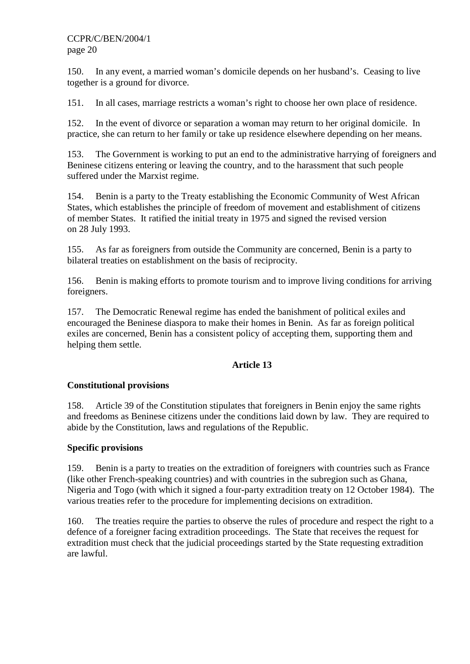150. In any event, a married woman's domicile depends on her husband's. Ceasing to live together is a ground for divorce.

151. In all cases, marriage restricts a woman's right to choose her own place of residence.

152. In the event of divorce or separation a woman may return to her original domicile. In practice, she can return to her family or take up residence elsewhere depending on her means.

153. The Government is working to put an end to the administrative harrying of foreigners and Beninese citizens entering or leaving the country, and to the harassment that such people suffered under the Marxist regime.

154. Benin is a party to the Treaty establishing the Economic Community of West African States, which establishes the principle of freedom of movement and establishment of citizens of member States. It ratified the initial treaty in 1975 and signed the revised version on 28 July 1993.

155. As far as foreigners from outside the Community are concerned, Benin is a party to bilateral treaties on establishment on the basis of reciprocity.

156. Benin is making efforts to promote tourism and to improve living conditions for arriving foreigners.

157. The Democratic Renewal regime has ended the banishment of political exiles and encouraged the Beninese diaspora to make their homes in Benin. As far as foreign political exiles are concerned, Benin has a consistent policy of accepting them, supporting them and helping them settle.

# **Article 13**

#### **Constitutional provisions**

158. Article 39 of the Constitution stipulates that foreigners in Benin enjoy the same rights and freedoms as Beninese citizens under the conditions laid down by law. They are required to abide by the Constitution, laws and regulations of the Republic.

#### **Specific provisions**

159. Benin is a party to treaties on the extradition of foreigners with countries such as France (like other French-speaking countries) and with countries in the subregion such as Ghana, Nigeria and Togo (with which it signed a four-party extradition treaty on 12 October 1984). The various treaties refer to the procedure for implementing decisions on extradition.

160. The treaties require the parties to observe the rules of procedure and respect the right to a defence of a foreigner facing extradition proceedings. The State that receives the request for extradition must check that the judicial proceedings started by the State requesting extradition are lawful.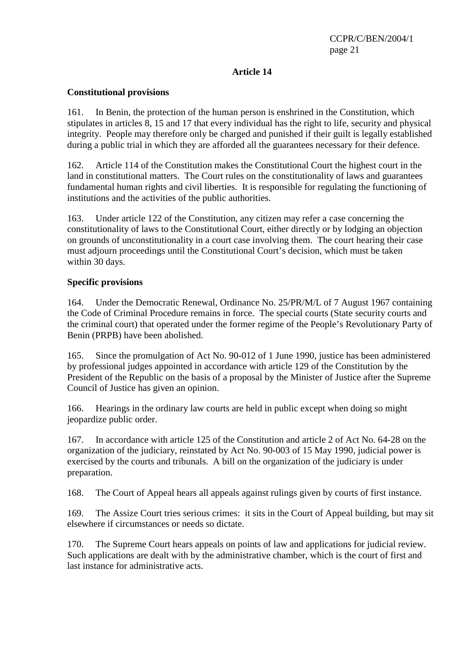# **Article 14**

#### **Constitutional provisions**

161. In Benin, the protection of the human person is enshrined in the Constitution, which stipulates in articles 8, 15 and 17 that every individual has the right to life, security and physical integrity. People may therefore only be charged and punished if their guilt is legally established during a public trial in which they are afforded all the guarantees necessary for their defence.

162. Article 114 of the Constitution makes the Constitutional Court the highest court in the land in constitutional matters. The Court rules on the constitutionality of laws and guarantees fundamental human rights and civil liberties. It is responsible for regulating the functioning of institutions and the activities of the public authorities.

163. Under article 122 of the Constitution, any citizen may refer a case concerning the constitutionality of laws to the Constitutional Court, either directly or by lodging an objection on grounds of unconstitutionality in a court case involving them. The court hearing their case must adjourn proceedings until the Constitutional Court's decision, which must be taken within 30 days.

#### **Specific provisions**

164. Under the Democratic Renewal, Ordinance No. 25/PR/M/L of 7 August 1967 containing the Code of Criminal Procedure remains in force. The special courts (State security courts and the criminal court) that operated under the former regime of the People's Revolutionary Party of Benin (PRPB) have been abolished.

165. Since the promulgation of Act No. 90-012 of 1 June 1990, justice has been administered by professional judges appointed in accordance with article 129 of the Constitution by the President of the Republic on the basis of a proposal by the Minister of Justice after the Supreme Council of Justice has given an opinion.

166. Hearings in the ordinary law courts are held in public except when doing so might jeopardize public order.

167. In accordance with article 125 of the Constitution and article 2 of Act No. 64-28 on the organization of the judiciary, reinstated by Act No. 90-003 of 15 May 1990, judicial power is exercised by the courts and tribunals. A bill on the organization of the judiciary is under preparation.

168. The Court of Appeal hears all appeals against rulings given by courts of first instance.

169. The Assize Court tries serious crimes: it sits in the Court of Appeal building, but may sit elsewhere if circumstances or needs so dictate.

170. The Supreme Court hears appeals on points of law and applications for judicial review. Such applications are dealt with by the administrative chamber, which is the court of first and last instance for administrative acts.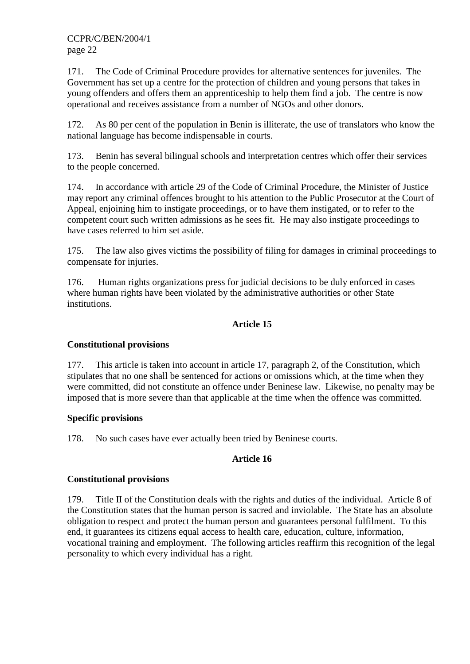171. The Code of Criminal Procedure provides for alternative sentences for juveniles. The Government has set up a centre for the protection of children and young persons that takes in young offenders and offers them an apprenticeship to help them find a job. The centre is now operational and receives assistance from a number of NGOs and other donors.

172. As 80 per cent of the population in Benin is illiterate, the use of translators who know the national language has become indispensable in courts.

173. Benin has several bilingual schools and interpretation centres which offer their services to the people concerned.

174. In accordance with article 29 of the Code of Criminal Procedure, the Minister of Justice may report any criminal offences brought to his attention to the Public Prosecutor at the Court of Appeal, enjoining him to instigate proceedings, or to have them instigated, or to refer to the competent court such written admissions as he sees fit. He may also instigate proceedings to have cases referred to him set aside.

175. The law also gives victims the possibility of filing for damages in criminal proceedings to compensate for injuries.

176. Human rights organizations press for judicial decisions to be duly enforced in cases where human rights have been violated by the administrative authorities or other State institutions.

# **Article 15**

# **Constitutional provisions**

177. This article is taken into account in article 17, paragraph 2, of the Constitution, which stipulates that no one shall be sentenced for actions or omissions which, at the time when they were committed, did not constitute an offence under Beninese law. Likewise, no penalty may be imposed that is more severe than that applicable at the time when the offence was committed.

# **Specific provisions**

178. No such cases have ever actually been tried by Beninese courts.

# **Article 16**

#### **Constitutional provisions**

179. Title II of the Constitution deals with the rights and duties of the individual. Article 8 of the Constitution states that the human person is sacred and inviolable. The State has an absolute obligation to respect and protect the human person and guarantees personal fulfilment. To this end, it guarantees its citizens equal access to health care, education, culture, information, vocational training and employment. The following articles reaffirm this recognition of the legal personality to which every individual has a right.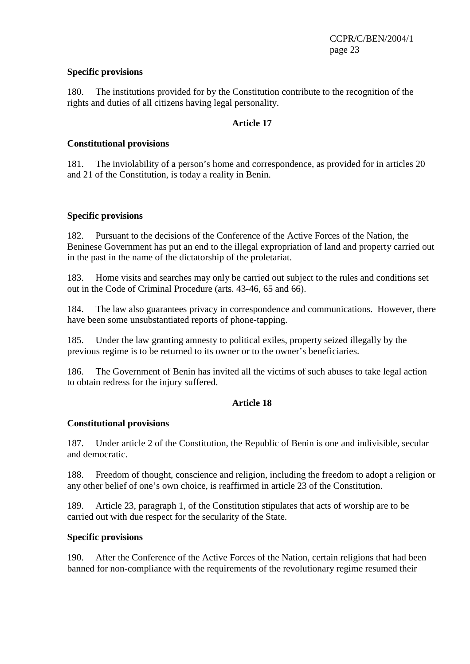#### **Specific provisions**

180. The institutions provided for by the Constitution contribute to the recognition of the rights and duties of all citizens having legal personality.

## **Article 17**

#### **Constitutional provisions**

181. The inviolability of a person's home and correspondence, as provided for in articles 20 and 21 of the Constitution, is today a reality in Benin.

#### **Specific provisions**

182. Pursuant to the decisions of the Conference of the Active Forces of the Nation, the Beninese Government has put an end to the illegal expropriation of land and property carried out in the past in the name of the dictatorship of the proletariat.

183. Home visits and searches may only be carried out subject to the rules and conditions set out in the Code of Criminal Procedure (arts. 43-46, 65 and 66).

184. The law also guarantees privacy in correspondence and communications. However, there have been some unsubstantiated reports of phone-tapping.

185. Under the law granting amnesty to political exiles, property seized illegally by the previous regime is to be returned to its owner or to the owner's beneficiaries.

186. The Government of Benin has invited all the victims of such abuses to take legal action to obtain redress for the injury suffered.

# **Article 18**

#### **Constitutional provisions**

187. Under article 2 of the Constitution, the Republic of Benin is one and indivisible, secular and democratic.

188. Freedom of thought, conscience and religion, including the freedom to adopt a religion or any other belief of one's own choice, is reaffirmed in article 23 of the Constitution.

189. Article 23, paragraph 1, of the Constitution stipulates that acts of worship are to be carried out with due respect for the secularity of the State.

#### **Specific provisions**

190. After the Conference of the Active Forces of the Nation, certain religions that had been banned for non-compliance with the requirements of the revolutionary regime resumed their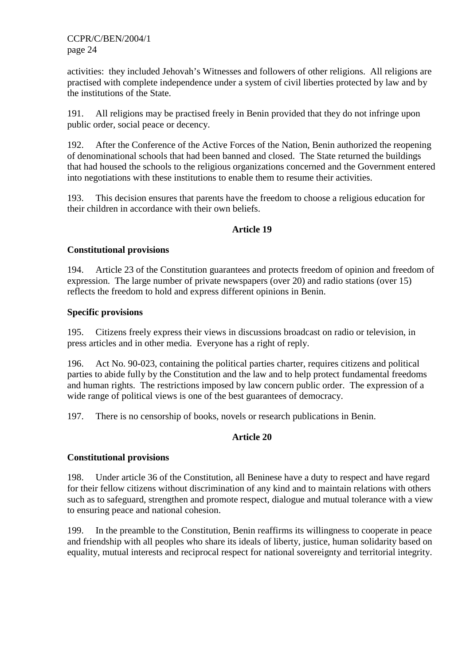activities: they included Jehovah's Witnesses and followers of other religions. All religions are practised with complete independence under a system of civil liberties protected by law and by the institutions of the State.

191. All religions may be practised freely in Benin provided that they do not infringe upon public order, social peace or decency.

192. After the Conference of the Active Forces of the Nation, Benin authorized the reopening of denominational schools that had been banned and closed. The State returned the buildings that had housed the schools to the religious organizations concerned and the Government entered into negotiations with these institutions to enable them to resume their activities.

193. This decision ensures that parents have the freedom to choose a religious education for their children in accordance with their own beliefs.

# **Article 19**

#### **Constitutional provisions**

194. Article 23 of the Constitution guarantees and protects freedom of opinion and freedom of expression. The large number of private newspapers (over 20) and radio stations (over 15) reflects the freedom to hold and express different opinions in Benin.

#### **Specific provisions**

195. Citizens freely express their views in discussions broadcast on radio or television, in press articles and in other media. Everyone has a right of reply.

196. Act No. 90-023, containing the political parties charter, requires citizens and political parties to abide fully by the Constitution and the law and to help protect fundamental freedoms and human rights. The restrictions imposed by law concern public order. The expression of a wide range of political views is one of the best guarantees of democracy.

197. There is no censorship of books, novels or research publications in Benin.

# **Article 20**

# **Constitutional provisions**

198. Under article 36 of the Constitution, all Beninese have a duty to respect and have regard for their fellow citizens without discrimination of any kind and to maintain relations with others such as to safeguard, strengthen and promote respect, dialogue and mutual tolerance with a view to ensuring peace and national cohesion.

199. In the preamble to the Constitution, Benin reaffirms its willingness to cooperate in peace and friendship with all peoples who share its ideals of liberty, justice, human solidarity based on equality, mutual interests and reciprocal respect for national sovereignty and territorial integrity.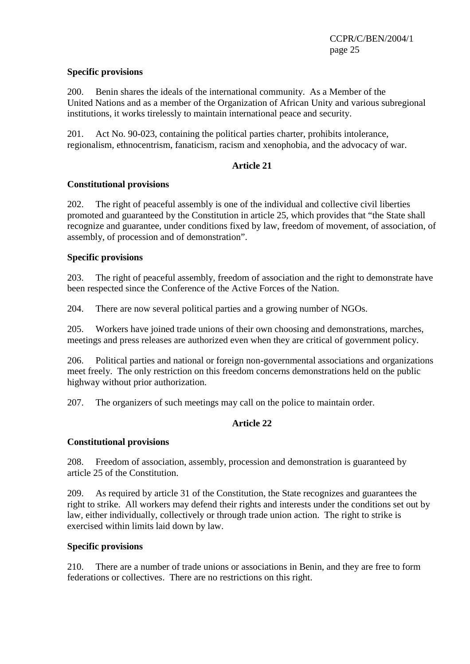#### **Specific provisions**

200. Benin shares the ideals of the international community. As a Member of the United Nations and as a member of the Organization of African Unity and various subregional institutions, it works tirelessly to maintain international peace and security.

201. Act No. 90-023, containing the political parties charter, prohibits intolerance, regionalism, ethnocentrism, fanaticism, racism and xenophobia, and the advocacy of war.

# **Article 21**

#### **Constitutional provisions**

202. The right of peaceful assembly is one of the individual and collective civil liberties promoted and guaranteed by the Constitution in article 25, which provides that "the State shall recognize and guarantee, under conditions fixed by law, freedom of movement, of association, of assembly, of procession and of demonstration".

#### **Specific provisions**

203. The right of peaceful assembly, freedom of association and the right to demonstrate have been respected since the Conference of the Active Forces of the Nation.

204. There are now several political parties and a growing number of NGOs.

205. Workers have joined trade unions of their own choosing and demonstrations, marches, meetings and press releases are authorized even when they are critical of government policy.

206. Political parties and national or foreign non-governmental associations and organizations meet freely. The only restriction on this freedom concerns demonstrations held on the public highway without prior authorization.

207. The organizers of such meetings may call on the police to maintain order.

# **Article 22**

# **Constitutional provisions**

208. Freedom of association, assembly, procession and demonstration is guaranteed by article 25 of the Constitution.

209. As required by article 31 of the Constitution, the State recognizes and guarantees the right to strike. All workers may defend their rights and interests under the conditions set out by law, either individually, collectively or through trade union action. The right to strike is exercised within limits laid down by law.

#### **Specific provisions**

210. There are a number of trade unions or associations in Benin, and they are free to form federations or collectives. There are no restrictions on this right.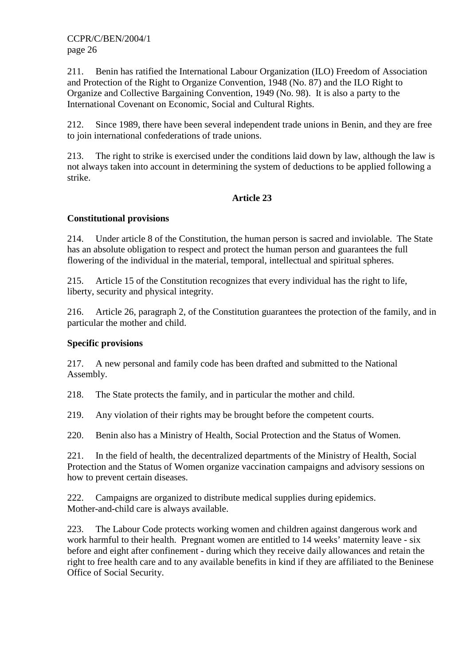211. Benin has ratified the International Labour Organization (ILO) Freedom of Association and Protection of the Right to Organize Convention, 1948 (No. 87) and the ILO Right to Organize and Collective Bargaining Convention, 1949 (No. 98). It is also a party to the International Covenant on Economic, Social and Cultural Rights.

212. Since 1989, there have been several independent trade unions in Benin, and they are free to join international confederations of trade unions.

213. The right to strike is exercised under the conditions laid down by law, although the law is not always taken into account in determining the system of deductions to be applied following a strike.

# **Article 23**

# **Constitutional provisions**

214. Under article 8 of the Constitution, the human person is sacred and inviolable. The State has an absolute obligation to respect and protect the human person and guarantees the full flowering of the individual in the material, temporal, intellectual and spiritual spheres.

215. Article 15 of the Constitution recognizes that every individual has the right to life, liberty, security and physical integrity.

216. Article 26, paragraph 2, of the Constitution guarantees the protection of the family, and in particular the mother and child.

# **Specific provisions**

217. A new personal and family code has been drafted and submitted to the National Assembly.

218. The State protects the family, and in particular the mother and child.

219. Any violation of their rights may be brought before the competent courts.

220. Benin also has a Ministry of Health, Social Protection and the Status of Women.

221. In the field of health, the decentralized departments of the Ministry of Health, Social Protection and the Status of Women organize vaccination campaigns and advisory sessions on how to prevent certain diseases.

222. Campaigns are organized to distribute medical supplies during epidemics. Mother-and-child care is always available.

223. The Labour Code protects working women and children against dangerous work and work harmful to their health. Pregnant women are entitled to 14 weeks' maternity leave - six before and eight after confinement - during which they receive daily allowances and retain the right to free health care and to any available benefits in kind if they are affiliated to the Beninese Office of Social Security.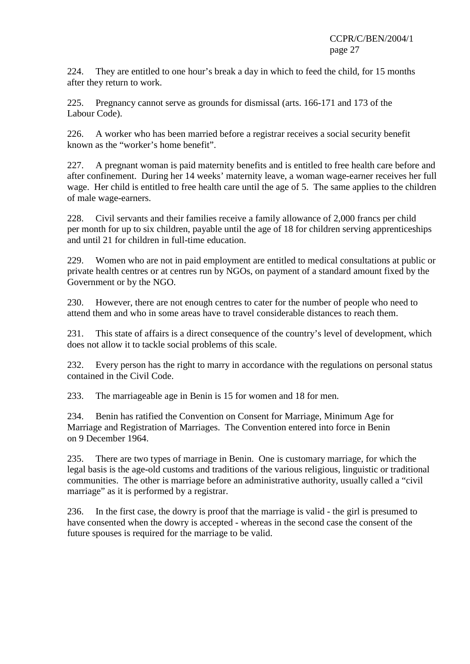224. They are entitled to one hour's break a day in which to feed the child, for 15 months after they return to work.

225. Pregnancy cannot serve as grounds for dismissal (arts. 166-171 and 173 of the Labour Code).

226. A worker who has been married before a registrar receives a social security benefit known as the "worker's home benefit".

227. A pregnant woman is paid maternity benefits and is entitled to free health care before and after confinement. During her 14 weeks' maternity leave, a woman wage-earner receives her full wage. Her child is entitled to free health care until the age of 5. The same applies to the children of male wage-earners.

228. Civil servants and their families receive a family allowance of 2,000 francs per child per month for up to six children, payable until the age of 18 for children serving apprenticeships and until 21 for children in full-time education.

229. Women who are not in paid employment are entitled to medical consultations at public or private health centres or at centres run by NGOs, on payment of a standard amount fixed by the Government or by the NGO.

230. However, there are not enough centres to cater for the number of people who need to attend them and who in some areas have to travel considerable distances to reach them.

231. This state of affairs is a direct consequence of the country's level of development, which does not allow it to tackle social problems of this scale.

232. Every person has the right to marry in accordance with the regulations on personal status contained in the Civil Code.

233. The marriageable age in Benin is 15 for women and 18 for men.

234. Benin has ratified the Convention on Consent for Marriage, Minimum Age for Marriage and Registration of Marriages. The Convention entered into force in Benin on 9 December 1964.

235. There are two types of marriage in Benin. One is customary marriage, for which the legal basis is the age-old customs and traditions of the various religious, linguistic or traditional communities. The other is marriage before an administrative authority, usually called a "civil marriage" as it is performed by a registrar.

236. In the first case, the dowry is proof that the marriage is valid - the girl is presumed to have consented when the dowry is accepted - whereas in the second case the consent of the future spouses is required for the marriage to be valid.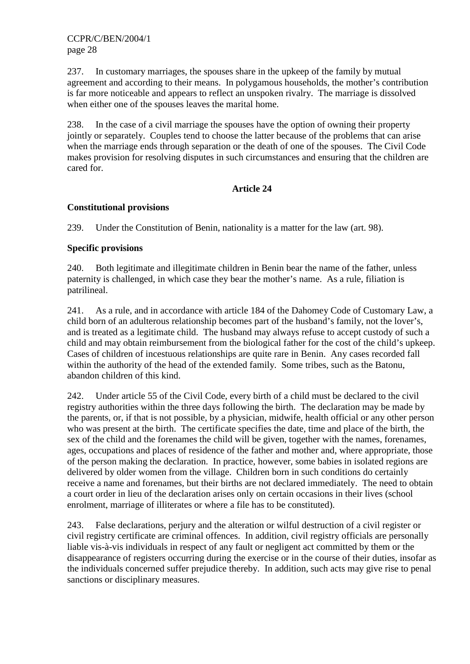237. In customary marriages, the spouses share in the upkeep of the family by mutual agreement and according to their means. In polygamous households, the mother's contribution is far more noticeable and appears to reflect an unspoken rivalry. The marriage is dissolved when either one of the spouses leaves the marital home.

238. In the case of a civil marriage the spouses have the option of owning their property jointly or separately. Couples tend to choose the latter because of the problems that can arise when the marriage ends through separation or the death of one of the spouses. The Civil Code makes provision for resolving disputes in such circumstances and ensuring that the children are cared for.

# **Article 24**

# **Constitutional provisions**

239. Under the Constitution of Benin, nationality is a matter for the law (art. 98).

# **Specific provisions**

240. Both legitimate and illegitimate children in Benin bear the name of the father, unless paternity is challenged, in which case they bear the mother's name. As a rule, filiation is patrilineal.

241. As a rule, and in accordance with article 184 of the Dahomey Code of Customary Law, a child born of an adulterous relationship becomes part of the husband's family, not the lover's, and is treated as a legitimate child. The husband may always refuse to accept custody of such a child and may obtain reimbursement from the biological father for the cost of the child's upkeep. Cases of children of incestuous relationships are quite rare in Benin. Any cases recorded fall within the authority of the head of the extended family. Some tribes, such as the Batonu, abandon children of this kind.

242. Under article 55 of the Civil Code, every birth of a child must be declared to the civil registry authorities within the three days following the birth. The declaration may be made by the parents, or, if that is not possible, by a physician, midwife, health official or any other person who was present at the birth. The certificate specifies the date, time and place of the birth, the sex of the child and the forenames the child will be given, together with the names, forenames, ages, occupations and places of residence of the father and mother and, where appropriate, those of the person making the declaration. In practice, however, some babies in isolated regions are delivered by older women from the village. Children born in such conditions do certainly receive a name and forenames, but their births are not declared immediately. The need to obtain a court order in lieu of the declaration arises only on certain occasions in their lives (school enrolment, marriage of illiterates or where a file has to be constituted).

243. False declarations, perjury and the alteration or wilful destruction of a civil register or civil registry certificate are criminal offences. In addition, civil registry officials are personally liable vis-à-vis individuals in respect of any fault or negligent act committed by them or the disappearance of registers occurring during the exercise or in the course of their duties, insofar as the individuals concerned suffer prejudice thereby. In addition, such acts may give rise to penal sanctions or disciplinary measures.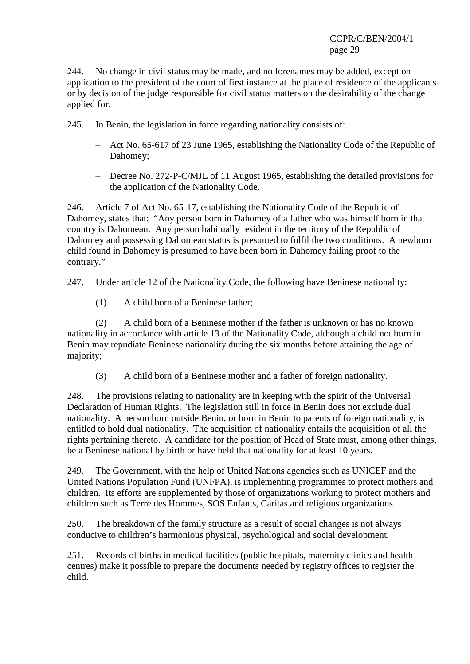244. No change in civil status may be made, and no forenames may be added, except on application to the president of the court of first instance at the place of residence of the applicants or by decision of the judge responsible for civil status matters on the desirability of the change applied for.

245. In Benin, the legislation in force regarding nationality consists of:

- Act No. 65-617 of 23 June 1965, establishing the Nationality Code of the Republic of Dahomey;
- Decree No. 272-P-C/MJL of 11 August 1965, establishing the detailed provisions for the application of the Nationality Code.

246. Article 7 of Act No. 65-17, establishing the Nationality Code of the Republic of Dahomey, states that: "Any person born in Dahomey of a father who was himself born in that country is Dahomean. Any person habitually resident in the territory of the Republic of Dahomey and possessing Dahomean status is presumed to fulfil the two conditions. A newborn child found in Dahomey is presumed to have been born in Dahomey failing proof to the contrary."

247. Under article 12 of the Nationality Code, the following have Beninese nationality:

(1) A child born of a Beninese father;

(2) A child born of a Beninese mother if the father is unknown or has no known nationality in accordance with article 13 of the Nationality Code, although a child not born in Benin may repudiate Beninese nationality during the six months before attaining the age of majority;

(3) A child born of a Beninese mother and a father of foreign nationality.

248. The provisions relating to nationality are in keeping with the spirit of the Universal Declaration of Human Rights. The legislation still in force in Benin does not exclude dual nationality. A person born outside Benin, or born in Benin to parents of foreign nationality, is entitled to hold dual nationality. The acquisition of nationality entails the acquisition of all the rights pertaining thereto. A candidate for the position of Head of State must, among other things, be a Beninese national by birth or have held that nationality for at least 10 years.

249. The Government, with the help of United Nations agencies such as UNICEF and the United Nations Population Fund (UNFPA), is implementing programmes to protect mothers and children. Its efforts are supplemented by those of organizations working to protect mothers and children such as Terre des Hommes, SOS Enfants, Caritas and religious organizations.

250. The breakdown of the family structure as a result of social changes is not always conducive to children's harmonious physical, psychological and social development.

251. Records of births in medical facilities (public hospitals, maternity clinics and health centres) make it possible to prepare the documents needed by registry offices to register the child.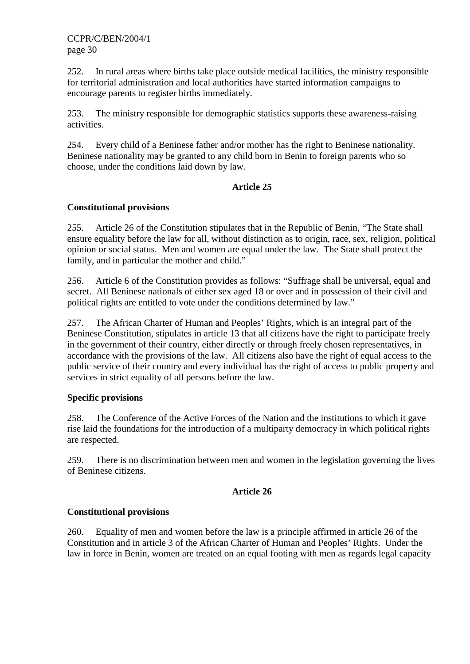252. In rural areas where births take place outside medical facilities, the ministry responsible for territorial administration and local authorities have started information campaigns to encourage parents to register births immediately.

253. The ministry responsible for demographic statistics supports these awareness-raising activities.

254. Every child of a Beninese father and/or mother has the right to Beninese nationality. Beninese nationality may be granted to any child born in Benin to foreign parents who so choose, under the conditions laid down by law.

# **Article 25**

# **Constitutional provisions**

255. Article 26 of the Constitution stipulates that in the Republic of Benin, "The State shall ensure equality before the law for all, without distinction as to origin, race, sex, religion, political opinion or social status. Men and women are equal under the law. The State shall protect the family, and in particular the mother and child."

256. Article 6 of the Constitution provides as follows: "Suffrage shall be universal, equal and secret. All Beninese nationals of either sex aged 18 or over and in possession of their civil and political rights are entitled to vote under the conditions determined by law."

257. The African Charter of Human and Peoples' Rights, which is an integral part of the Beninese Constitution, stipulates in article 13 that all citizens have the right to participate freely in the government of their country, either directly or through freely chosen representatives, in accordance with the provisions of the law. All citizens also have the right of equal access to the public service of their country and every individual has the right of access to public property and services in strict equality of all persons before the law.

# **Specific provisions**

258. The Conference of the Active Forces of the Nation and the institutions to which it gave rise laid the foundations for the introduction of a multiparty democracy in which political rights are respected.

259. There is no discrimination between men and women in the legislation governing the lives of Beninese citizens.

# **Article 26**

# **Constitutional provisions**

260. Equality of men and women before the law is a principle affirmed in article 26 of the Constitution and in article 3 of the African Charter of Human and Peoples' Rights. Under the law in force in Benin, women are treated on an equal footing with men as regards legal capacity